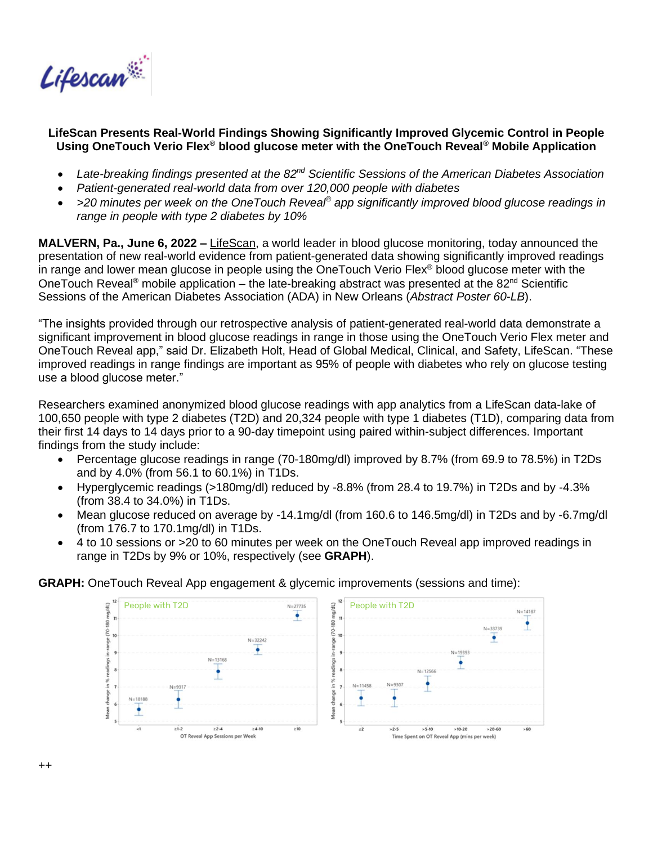

## **LifeScan Presents Real-World Findings Showing Significantly Improved Glycemic Control in People Using OneTouch Verio Flex® blood glucose meter with the OneTouch Reveal® Mobile Application**

- *Late-breaking findings presented at the 82nd Scientific Sessions of the American Diabetes Association*
- *Patient-generated real-world data from over 120,000 people with diabetes*
- *>20 minutes per week on the OneTouch Reveal® app significantly improved blood glucose readings in range in people with type 2 diabetes by 10%*

**MALVERN, Pa., June 6, 2022 –** [LifeScan,](https://www.lifescan.com/) a world leader in blood glucose monitoring, today announced the presentation of new real-world evidence from patient-generated data showing significantly improved readings in range and lower mean glucose in people using the OneTouch Verio Flex® blood glucose meter with the OneTouch Reveal<sup>®</sup> mobile application – the late-breaking abstract was presented at the 82<sup>nd</sup> Scientific Sessions of the American Diabetes Association (ADA) in New Orleans (*Abstract Poster 60-LB*).

"The insights provided through our retrospective analysis of patient-generated real-world data demonstrate a significant improvement in blood glucose readings in range in those using the OneTouch Verio Flex meter and OneTouch Reveal app," said Dr. Elizabeth Holt, Head of Global Medical, Clinical, and Safety, LifeScan. "These improved readings in range findings are important as 95% of people with diabetes who rely on glucose testing use a blood glucose meter."

Researchers examined anonymized blood glucose readings with app analytics from a LifeScan data-lake of 100,650 people with type 2 diabetes (T2D) and 20,324 people with type 1 diabetes (T1D), comparing data from their first 14 days to 14 days prior to a 90-day timepoint using paired within-subject differences. Important findings from the study include:

- Percentage glucose readings in range (70-180mg/dl) improved by 8.7% (from 69.9 to 78.5%) in T2Ds and by 4.0% (from 56.1 to 60.1%) in T1Ds.
- Hyperglycemic readings (>180mg/dl) reduced by -8.8% (from 28.4 to 19.7%) in T2Ds and by -4.3% (from 38.4 to 34.0%) in T1Ds.
- Mean glucose reduced on average by -14.1mg/dl (from 160.6 to 146.5mg/dl) in T2Ds and by -6.7mg/dl (from 176.7 to 170.1mg/dl) in T1Ds.
- 4 to 10 sessions or >20 to 60 minutes per week on the OneTouch Reveal app improved readings in range in T2Ds by 9% or 10%, respectively (see **GRAPH**).

**GRAPH:** OneTouch Reveal App engagement & glycemic improvements (sessions and time):